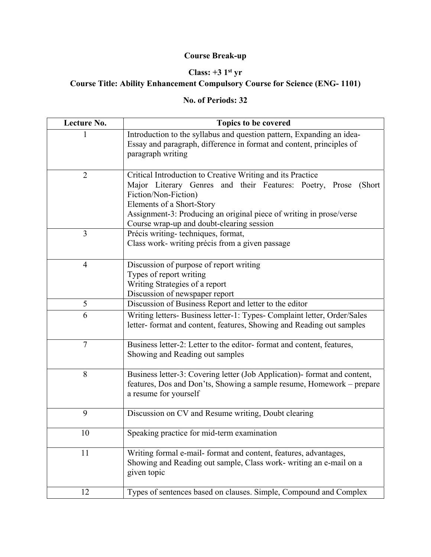## **Course Break-up**

## **Class: +3 1st yr**

## **Course Title: Ability Enhancement Compulsory Course for Science (ENG- 1101)**

## **No. of Periods: 32**

| Lecture No.    | Topics to be covered                                                                                                                                                                                                                                                                                      |
|----------------|-----------------------------------------------------------------------------------------------------------------------------------------------------------------------------------------------------------------------------------------------------------------------------------------------------------|
|                | Introduction to the syllabus and question pattern, Expanding an idea-<br>Essay and paragraph, difference in format and content, principles of<br>paragraph writing                                                                                                                                        |
| $\overline{2}$ | Critical Introduction to Creative Writing and its Practice<br>Major Literary Genres and their Features: Poetry, Prose<br>(Short)<br>Fiction/Non-Fiction)<br>Elements of a Short-Story<br>Assignment-3: Producing an original piece of writing in prose/verse<br>Course wrap-up and doubt-clearing session |
| 3              | Précis writing-techniques, format,<br>Class work- writing précis from a given passage                                                                                                                                                                                                                     |
| $\overline{4}$ | Discussion of purpose of report writing<br>Types of report writing<br>Writing Strategies of a report<br>Discussion of newspaper report                                                                                                                                                                    |
| $\mathfrak{S}$ | Discussion of Business Report and letter to the editor                                                                                                                                                                                                                                                    |
| 6              | Writing letters- Business letter-1: Types- Complaint letter, Order/Sales<br>letter-format and content, features, Showing and Reading out samples                                                                                                                                                          |
| $\overline{7}$ | Business letter-2: Letter to the editor-format and content, features,<br>Showing and Reading out samples                                                                                                                                                                                                  |
| 8              | Business letter-3: Covering letter (Job Application)- format and content,<br>features, Dos and Don'ts, Showing a sample resume, Homework – prepare<br>a resume for yourself                                                                                                                               |
| 9              | Discussion on CV and Resume writing, Doubt clearing                                                                                                                                                                                                                                                       |
| 10             | Speaking practice for mid-term examination                                                                                                                                                                                                                                                                |
| 11             | Writing formal e-mail- format and content, features, advantages,<br>Showing and Reading out sample, Class work- writing an e-mail on a<br>given topic                                                                                                                                                     |
| 12             | Types of sentences based on clauses. Simple, Compound and Complex                                                                                                                                                                                                                                         |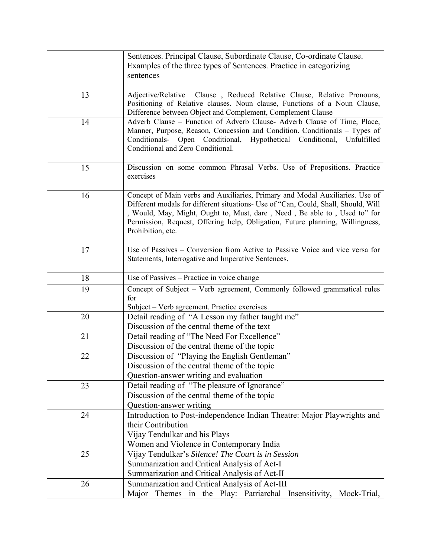|    | Sentences. Principal Clause, Subordinate Clause, Co-ordinate Clause.               |
|----|------------------------------------------------------------------------------------|
|    | Examples of the three types of Sentences. Practice in categorizing                 |
|    | sentences                                                                          |
|    |                                                                                    |
| 13 | Adjective/Relative Clause, Reduced Relative Clause, Relative Pronouns,             |
|    | Positioning of Relative clauses. Noun clause, Functions of a Noun Clause,          |
|    | Difference between Object and Complement, Complement Clause                        |
| 14 | Adverb Clause - Function of Adverb Clause- Adverb Clause of Time, Place,           |
|    | Manner, Purpose, Reason, Concession and Condition. Conditionals - Types of         |
|    | Conditionals- Open Conditional, Hypothetical Conditional, Unfulfilled              |
|    | Conditional and Zero Conditional.                                                  |
|    |                                                                                    |
| 15 | Discussion on some common Phrasal Verbs. Use of Prepositions. Practice             |
|    | exercises                                                                          |
|    |                                                                                    |
| 16 | Concept of Main verbs and Auxiliaries, Primary and Modal Auxiliaries. Use of       |
|    | Different modals for different situations- Use of "Can, Could, Shall, Should, Will |
|    | , Would, May, Might, Ought to, Must, dare, Need, Be able to, Used to" for          |
|    | Permission, Request, Offering help, Obligation, Future planning, Willingness,      |
|    | Prohibition, etc.                                                                  |
| 17 | Use of Passives – Conversion from Active to Passive Voice and vice versa for       |
|    | Statements, Interrogative and Imperative Sentences.                                |
|    |                                                                                    |
| 18 | Use of Passives - Practice in voice change                                         |
| 19 | Concept of Subject - Verb agreement, Commonly followed grammatical rules           |
|    | for                                                                                |
|    | Subject - Verb agreement. Practice exercises                                       |
| 20 | Detail reading of "A Lesson my father taught me"                                   |
|    | Discussion of the central theme of the text                                        |
| 21 | Detail reading of "The Need For Excellence"                                        |
|    | Discussion of the central theme of the topic                                       |
| 22 | Discussion of "Playing the English Gentleman"                                      |
|    | Discussion of the central theme of the topic                                       |
|    | Question-answer writing and evaluation                                             |
| 23 | Detail reading of "The pleasure of Ignorance"                                      |
|    | Discussion of the central theme of the topic                                       |
|    | Question-answer writing                                                            |
| 24 | Introduction to Post-independence Indian Theatre: Major Playwrights and            |
|    | their Contribution                                                                 |
|    | Vijay Tendulkar and his Plays                                                      |
|    | Women and Violence in Contemporary India                                           |
| 25 | Vijay Tendulkar's Silence! The Court is in Session                                 |
|    | Summarization and Critical Analysis of Act-I                                       |
|    | Summarization and Critical Analysis of Act-II                                      |
| 26 | Summarization and Critical Analysis of Act-III                                     |
|    | Major Themes in the Play: Patriarchal Insensitivity, Mock-Trial,                   |